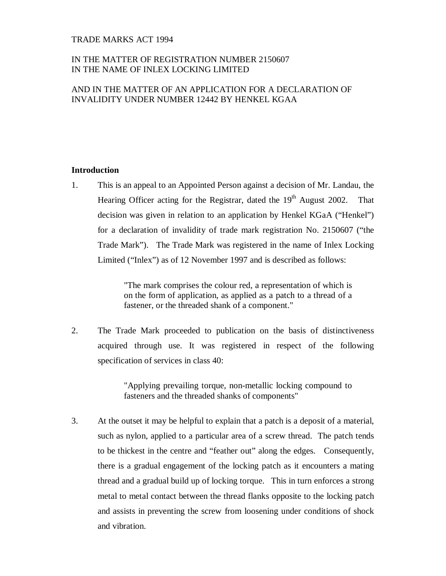### TRADE MARKS ACT 1994

# IN THE MATTER OF REGISTRATION NUMBER 2150607 IN THE NAME OF INLEX LOCKING LIMITED

# AND IN THE MATTER OF AN APPLICATION FOR A DECLARATION OF INVALIDITY UNDER NUMBER 12442 BY HENKEL KGAA

# **Introduction**

1. This is an appeal to an Appointed Person against a decision of Mr. Landau, the Hearing Officer acting for the Registrar, dated the 19<sup>th</sup> August 2002. That decision was given in relation to an application by Henkel KGaA ("Henkel") for a declaration of invalidity of trade mark registration No. 2150607 ("the Trade Mark"). The Trade Mark was registered in the name of Inlex Locking Limited ("Inlex") as of 12 November 1997 and is described as follows:

> "The mark comprises the colour red, a representation of which is on the form of application, as applied as a patch to a thread of a fastener, or the threaded shank of a component."

2. The Trade Mark proceeded to publication on the basis of distinctiveness acquired through use. It was registered in respect of the following specification of services in class 40:

> "Applying prevailing torque, non-metallic locking compound to fasteners and the threaded shanks of components"

3. At the outset it may be helpful to explain that a patch is a deposit of a material, such as nylon, applied to a particular area of a screw thread. The patch tends to be thickest in the centre and "feather out" along the edges. Consequently, there is a gradual engagement of the locking patch as it encounters a mating thread and a gradual build up of locking torque. This in turn enforces a strong metal to metal contact between the thread flanks opposite to the locking patch and assists in preventing the screw from loosening under conditions of shock and vibration.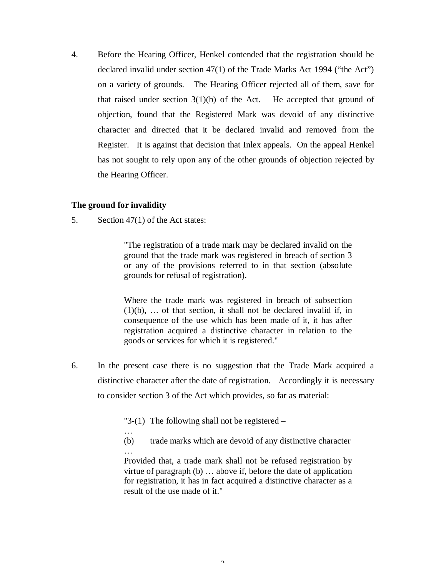4. Before the Hearing Officer, Henkel contended that the registration should be declared invalid under section 47(1) of the Trade Marks Act 1994 ("the Act") on a variety of grounds. The Hearing Officer rejected all of them, save for that raised under section  $3(1)(b)$  of the Act. He accepted that ground of objection, found that the Registered Mark was devoid of any distinctive character and directed that it be declared invalid and removed from the Register. It is against that decision that Inlex appeals. On the appeal Henkel has not sought to rely upon any of the other grounds of objection rejected by the Hearing Officer.

# **The ground for invalidity**

5. Section 47(1) of the Act states:

…

"The registration of a trade mark may be declared invalid on the ground that the trade mark was registered in breach of section 3 or any of the provisions referred to in that section (absolute grounds for refusal of registration).

Where the trade mark was registered in breach of subsection (1)(b), … of that section, it shall not be declared invalid if, in consequence of the use which has been made of it, it has after registration acquired a distinctive character in relation to the goods or services for which it is registered."

6. In the present case there is no suggestion that the Trade Mark acquired a distinctive character after the date of registration. Accordingly it is necessary to consider section 3 of the Act which provides, so far as material:

"3-(1) The following shall not be registered  $-$ 

(b) trade marks which are devoid of any distinctive character …

Provided that, a trade mark shall not be refused registration by virtue of paragraph (b) … above if, before the date of application for registration, it has in fact acquired a distinctive character as a result of the use made of it."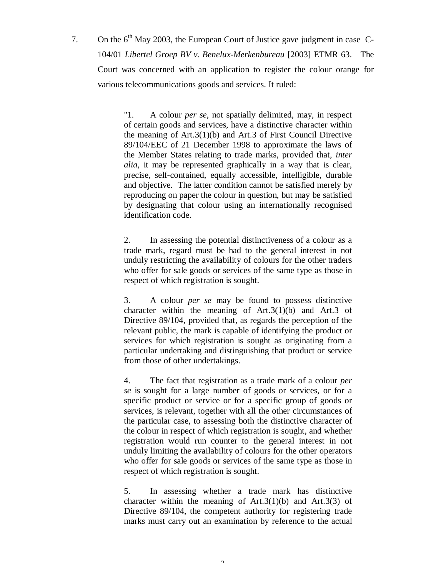7. On the  $6<sup>th</sup>$  May 2003, the European Court of Justice gave judgment in case C-104/01 *Libertel Groep BV v. Benelux-Merkenbureau* [2003] ETMR 63. The Court was concerned with an application to register the colour orange for various telecommunications goods and services. It ruled:

> "1. A colour *per se*, not spatially delimited, may, in respect of certain goods and services, have a distinctive character within the meaning of Art.3(1)(b) and Art.3 of First Council Directive 89/104/EEC of 21 December 1998 to approximate the laws of the Member States relating to trade marks, provided that, *inter alia*, it may be represented graphically in a way that is clear, precise, self-contained, equally accessible, intelligible, durable and objective. The latter condition cannot be satisfied merely by reproducing on paper the colour in question, but may be satisfied by designating that colour using an internationally recognised identification code.

> 2. In assessing the potential distinctiveness of a colour as a trade mark, regard must be had to the general interest in not unduly restricting the availability of colours for the other traders who offer for sale goods or services of the same type as those in respect of which registration is sought.

> 3. A colour *per se* may be found to possess distinctive character within the meaning of Art.3(1)(b) and Art.3 of Directive 89/104, provided that, as regards the perception of the relevant public, the mark is capable of identifying the product or services for which registration is sought as originating from a particular undertaking and distinguishing that product or service from those of other undertakings.

> 4. The fact that registration as a trade mark of a colour *per se* is sought for a large number of goods or services, or for a specific product or service or for a specific group of goods or services, is relevant, together with all the other circumstances of the particular case, to assessing both the distinctive character of the colour in respect of which registration is sought, and whether registration would run counter to the general interest in not unduly limiting the availability of colours for the other operators who offer for sale goods or services of the same type as those in respect of which registration is sought.

> 5. In assessing whether a trade mark has distinctive character within the meaning of  $Art.3(1)(b)$  and  $Art.3(3)$  of Directive 89/104, the competent authority for registering trade marks must carry out an examination by reference to the actual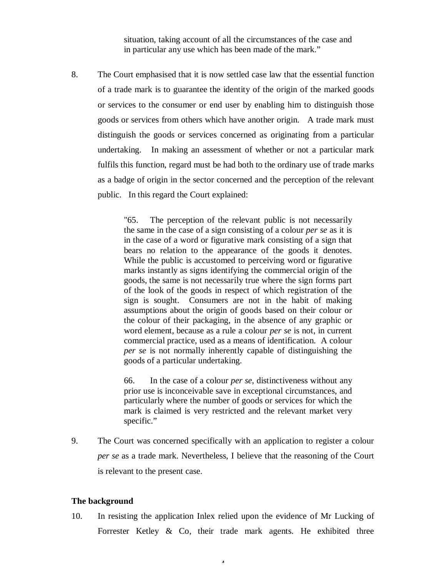situation, taking account of all the circumstances of the case and in particular any use which has been made of the mark."

8. The Court emphasised that it is now settled case law that the essential function of a trade mark is to guarantee the identity of the origin of the marked goods or services to the consumer or end user by enabling him to distinguish those goods or services from others which have another origin. A trade mark must distinguish the goods or services concerned as originating from a particular undertaking. In making an assessment of whether or not a particular mark fulfils this function, regard must be had both to the ordinary use of trade marks as a badge of origin in the sector concerned and the perception of the relevant public. In this regard the Court explained:

> "65. The perception of the relevant public is not necessarily the same in the case of a sign consisting of a colour *per se* as it is in the case of a word or figurative mark consisting of a sign that bears no relation to the appearance of the goods it denotes. While the public is accustomed to perceiving word or figurative marks instantly as signs identifying the commercial origin of the goods, the same is not necessarily true where the sign forms part of the look of the goods in respect of which registration of the sign is sought. Consumers are not in the habit of making assumptions about the origin of goods based on their colour or the colour of their packaging, in the absence of any graphic or word element, because as a rule a colour *per se* is not, in current commercial practice, used as a means of identification. A colour *per se* is not normally inherently capable of distinguishing the goods of a particular undertaking.

> 66. In the case of a colour *per se*, distinctiveness without any prior use is inconceivable save in exceptional circumstances, and particularly where the number of goods or services for which the mark is claimed is very restricted and the relevant market very specific."

9. The Court was concerned specifically with an application to register a colour *per se* as a trade mark. Nevertheless, I believe that the reasoning of the Court is relevant to the present case.

#### **The background**

10. In resisting the application Inlex relied upon the evidence of Mr Lucking of Forrester Ketley & Co, their trade mark agents. He exhibited three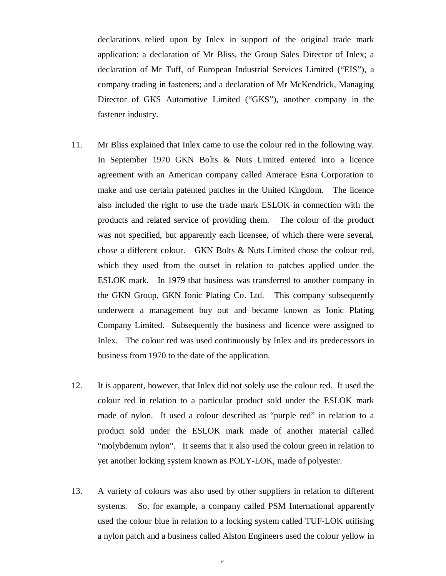declarations relied upon by Inlex in support of the original trade mark application: a declaration of Mr Bliss, the Group Sales Director of Inlex; a declaration of Mr Tuff, of European Industrial Services Limited ("EIS"), a company trading in fasteners; and a declaration of Mr McKendrick, Managing Director of GKS Automotive Limited ("GKS"), another company in the fastener industry.

- 11. Mr Bliss explained that Inlex came to use the colour red in the following way. In September 1970 GKN Bolts & Nuts Limited entered into a licence agreement with an American company called Amerace Esna Corporation to make and use certain patented patches in the United Kingdom. The licence also included the right to use the trade mark ESLOK in connection with the products and related service of providing them. The colour of the product was not specified, but apparently each licensee, of which there were several, chose a different colour. GKN Bolts & Nuts Limited chose the colour red, which they used from the outset in relation to patches applied under the ESLOK mark. In 1979 that business was transferred to another company in the GKN Group, GKN Ionic Plating Co. Ltd. This company subsequently underwent a management buy out and became known as Ionic Plating Company Limited. Subsequently the business and licence were assigned to Inlex. The colour red was used continuously by Inlex and its predecessors in business from 1970 to the date of the application.
- 12. It is apparent, however, that Inlex did not solely use the colour red. It used the colour red in relation to a particular product sold under the ESLOK mark made of nylon. It used a colour described as "purple red" in relation to a product sold under the ESLOK mark made of another material called "molybdenum nylon". It seems that it also used the colour green in relation to yet another locking system known as POLY-LOK, made of polyester.
- 13. A variety of colours was also used by other suppliers in relation to different systems. So, for example, a company called PSM International apparently used the colour blue in relation to a locking system called TUF-LOK utilising a nylon patch and a business called Alston Engineers used the colour yellow in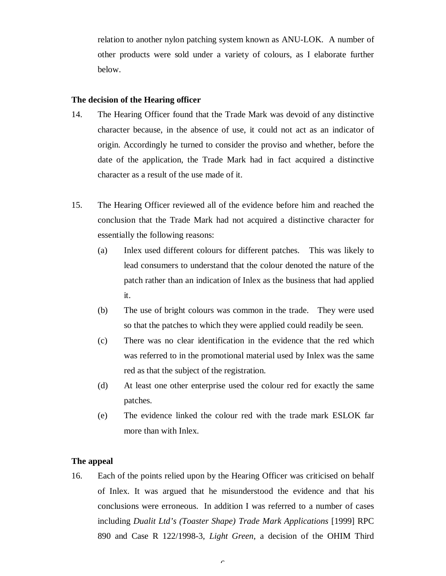relation to another nylon patching system known as ANU-LOK. A number of other products were sold under a variety of colours, as I elaborate further below.

### **The decision of the Hearing officer**

- 14. The Hearing Officer found that the Trade Mark was devoid of any distinctive character because, in the absence of use, it could not act as an indicator of origin. Accordingly he turned to consider the proviso and whether, before the date of the application, the Trade Mark had in fact acquired a distinctive character as a result of the use made of it.
- 15. The Hearing Officer reviewed all of the evidence before him and reached the conclusion that the Trade Mark had not acquired a distinctive character for essentially the following reasons:
	- (a) Inlex used different colours for different patches. This was likely to lead consumers to understand that the colour denoted the nature of the patch rather than an indication of Inlex as the business that had applied it.
	- (b) The use of bright colours was common in the trade. They were used so that the patches to which they were applied could readily be seen.
	- (c) There was no clear identification in the evidence that the red which was referred to in the promotional material used by Inlex was the same red as that the subject of the registration.
	- (d) At least one other enterprise used the colour red for exactly the same patches.
	- (e) The evidence linked the colour red with the trade mark ESLOK far more than with Inlex.

### **The appeal**

16. Each of the points relied upon by the Hearing Officer was criticised on behalf of Inlex. It was argued that he misunderstood the evidence and that his conclusions were erroneous. In addition I was referred to a number of cases including *Dualit Ltd's (Toaster Shape) Trade Mark Applications* [1999] RPC 890 and Case R 122/1998-3, *Light Green*, a decision of the OHIM Third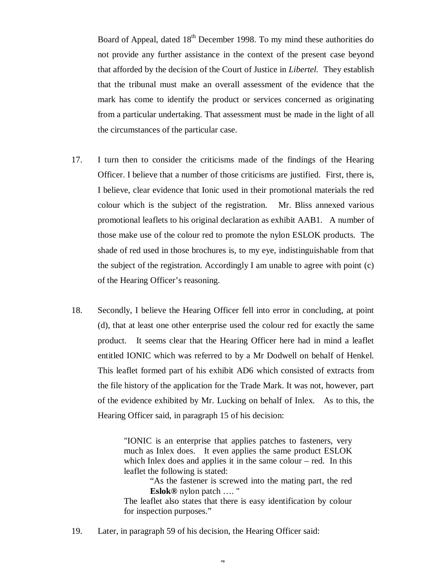Board of Appeal, dated  $18<sup>th</sup>$  December 1998. To my mind these authorities do not provide any further assistance in the context of the present case beyond that afforded by the decision of the Court of Justice in *Libertel.* They establish that the tribunal must make an overall assessment of the evidence that the mark has come to identify the product or services concerned as originating from a particular undertaking. That assessment must be made in the light of all the circumstances of the particular case.

- 17. I turn then to consider the criticisms made of the findings of the Hearing Officer. I believe that a number of those criticisms are justified. First, there is, I believe, clear evidence that Ionic used in their promotional materials the red colour which is the subject of the registration. Mr. Bliss annexed various promotional leaflets to his original declaration as exhibit AAB1. A number of those make use of the colour red to promote the nylon ESLOK products. The shade of red used in those brochures is, to my eye, indistinguishable from that the subject of the registration. Accordingly I am unable to agree with point  $(c)$ of the Hearing Officer's reasoning.
- 18. Secondly, I believe the Hearing Officer fell into error in concluding, at point (d), that at least one other enterprise used the colour red for exactly the same product. It seems clear that the Hearing Officer here had in mind a leaflet entitled IONIC which was referred to by a Mr Dodwell on behalf of Henkel. This leaflet formed part of his exhibit AD6 which consisted of extracts from the file history of the application for the Trade Mark. It was not, however, part of the evidence exhibited by Mr. Lucking on behalf of Inlex. As to this, the Hearing Officer said, in paragraph 15 of his decision:

"IONIC is an enterprise that applies patches to fasteners, very much as Inlex does. It even applies the same product ESLOK which Inlex does and applies it in the same colour – red. In this leaflet the following is stated:

"As the fastener is screwed into the mating part, the red **Eslok®** nylon patch …. "

The leaflet also states that there is easy identification by colour for inspection purposes."

- 19. Later, in paragraph 59 of his decision, the Hearing Officer said:
	- $\mathbf{r}$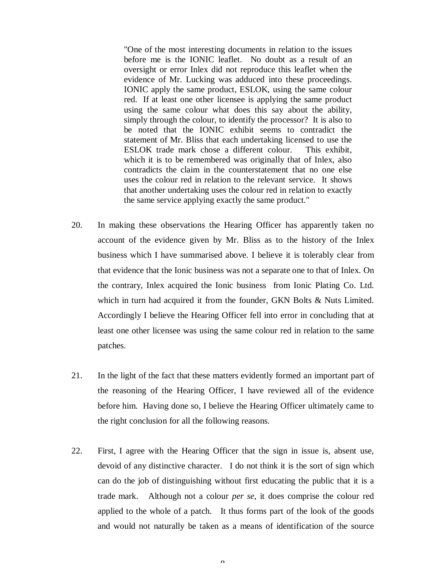"One of the most interesting documents in relation to the issues before me is the IONIC leaflet. No doubt as a result of an oversight or error Inlex did not reproduce this leaflet when the evidence of Mr. Lucking was adduced into these proceedings. IONIC apply the same product, ESLOK, using the same colour red. If at least one other licensee is applying the same product using the same colour what does this say about the ability, simply through the colour, to identify the processor? It is also to be noted that the IONIC exhibit seems to contradict the statement of Mr. Bliss that each undertaking licensed to use the ESLOK trade mark chose a different colour. This exhibit, which it is to be remembered was originally that of Inlex, also contradicts the claim in the counterstatement that no one else uses the colour red in relation to the relevant service. It shows that another undertaking uses the colour red in relation to exactly the same service applying exactly the same product."

- 20. In making these observations the Hearing Officer has apparently taken no account of the evidence given by Mr. Bliss as to the history of the Inlex business which I have summarised above. I believe it is tolerably clear from that evidence that the Ionic business was not a separate one to that of Inlex. On the contrary, Inlex acquired the Ionic business from Ionic Plating Co. Ltd. which in turn had acquired it from the founder, GKN Bolts & Nuts Limited. Accordingly I believe the Hearing Officer fell into error in concluding that at least one other licensee was using the same colour red in relation to the same patches.
- 21. In the light of the fact that these matters evidently formed an important part of the reasoning of the Hearing Officer, I have reviewed all of the evidence before him. Having done so, I believe the Hearing Officer ultimately came to the right conclusion for all the following reasons.
- 22. First, I agree with the Hearing Officer that the sign in issue is, absent use, devoid of any distinctive character. I do not think it is the sort of sign which can do the job of distinguishing without first educating the public that it is a trade mark. Although not a colour *per se*, it does comprise the colour red applied to the whole of a patch. It thus forms part of the look of the goods and would not naturally be taken as a means of identification of the source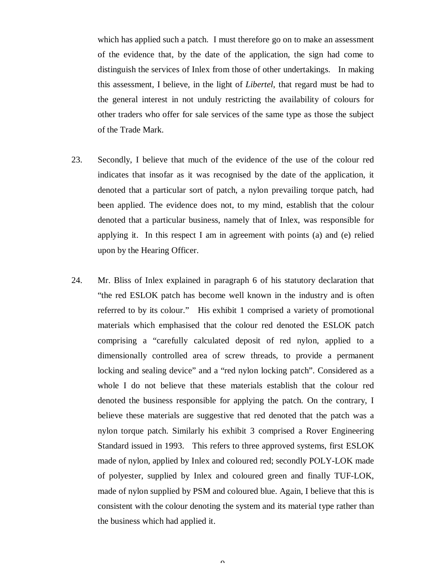which has applied such a patch. I must therefore go on to make an assessment of the evidence that, by the date of the application, the sign had come to distinguish the services of Inlex from those of other undertakings. In making this assessment, I believe, in the light of *Libertel*, that regard must be had to the general interest in not unduly restricting the availability of colours for other traders who offer for sale services of the same type as those the subject of the Trade Mark.

- 23. Secondly, I believe that much of the evidence of the use of the colour red indicates that insofar as it was recognised by the date of the application, it denoted that a particular sort of patch, a nylon prevailing torque patch, had been applied. The evidence does not, to my mind, establish that the colour denoted that a particular business, namely that of Inlex, was responsible for applying it. In this respect I am in agreement with points (a) and (e) relied upon by the Hearing Officer.
- 24. Mr. Bliss of Inlex explained in paragraph 6 of his statutory declaration that "the red ESLOK patch has become well known in the industry and is often referred to by its colour." His exhibit 1 comprised a variety of promotional materials which emphasised that the colour red denoted the ESLOK patch comprising a "carefully calculated deposit of red nylon, applied to a dimensionally controlled area of screw threads, to provide a permanent locking and sealing device" and a "red nylon locking patch". Considered as a whole I do not believe that these materials establish that the colour red denoted the business responsible for applying the patch. On the contrary, I believe these materials are suggestive that red denoted that the patch was a nylon torque patch. Similarly his exhibit 3 comprised a Rover Engineering Standard issued in 1993. This refers to three approved systems, first ESLOK made of nylon, applied by Inlex and coloured red; secondly POLY-LOK made of polyester, supplied by Inlex and coloured green and finally TUF-LOK, made of nylon supplied by PSM and coloured blue. Again, I believe that this is consistent with the colour denoting the system and its material type rather than the business which had applied it.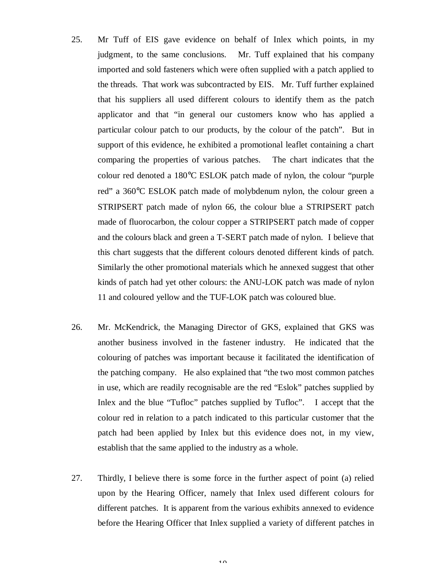- 25. Mr Tuff of EIS gave evidence on behalf of Inlex which points, in my judgment, to the same conclusions. Mr. Tuff explained that his company imported and sold fasteners which were often supplied with a patch applied to the threads. That work was subcontracted by EIS. Mr. Tuff further explained that his suppliers all used different colours to identify them as the patch applicator and that "in general our customers know who has applied a particular colour patch to our products, by the colour of the patch". But in support of this evidence, he exhibited a promotional leaflet containing a chart comparing the properties of various patches. The chart indicates that the colour red denoted a 180°C ESLOK patch made of nylon, the colour "purple red" a 360°C ESLOK patch made of molybdenum nylon, the colour green a STRIPSERT patch made of nylon 66, the colour blue a STRIPSERT patch made of fluorocarbon, the colour copper a STRIPSERT patch made of copper and the colours black and green a T-SERT patch made of nylon. I believe that this chart suggests that the different colours denoted different kinds of patch. Similarly the other promotional materials which he annexed suggest that other kinds of patch had yet other colours: the ANU-LOK patch was made of nylon 11 and coloured yellow and the TUF-LOK patch was coloured blue.
- 26. Mr. McKendrick, the Managing Director of GKS, explained that GKS was another business involved in the fastener industry. He indicated that the colouring of patches was important because it facilitated the identification of the patching company. He also explained that "the two most common patches in use, which are readily recognisable are the red "Eslok" patches supplied by Inlex and the blue "Tufloc" patches supplied by Tufloc". I accept that the colour red in relation to a patch indicated to this particular customer that the patch had been applied by Inlex but this evidence does not, in my view, establish that the same applied to the industry as a whole.
- 27. Thirdly, I believe there is some force in the further aspect of point (a) relied upon by the Hearing Officer, namely that Inlex used different colours for different patches. It is apparent from the various exhibits annexed to evidence before the Hearing Officer that Inlex supplied a variety of different patches in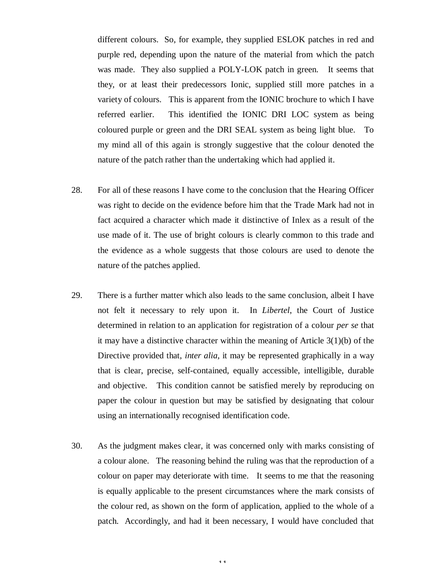different colours. So, for example, they supplied ESLOK patches in red and purple red, depending upon the nature of the material from which the patch was made. They also supplied a POLY-LOK patch in green. It seems that they, or at least their predecessors Ionic, supplied still more patches in a variety of colours. This is apparent from the IONIC brochure to which I have referred earlier. This identified the IONIC DRI LOC system as being coloured purple or green and the DRI SEAL system as being light blue. To my mind all of this again is strongly suggestive that the colour denoted the nature of the patch rather than the undertaking which had applied it.

- 28. For all of these reasons I have come to the conclusion that the Hearing Officer was right to decide on the evidence before him that the Trade Mark had not in fact acquired a character which made it distinctive of Inlex as a result of the use made of it. The use of bright colours is clearly common to this trade and the evidence as a whole suggests that those colours are used to denote the nature of the patches applied.
- 29. There is a further matter which also leads to the same conclusion, albeit I have not felt it necessary to rely upon it. In *Libertel*, the Court of Justice determined in relation to an application for registration of a colour *per se* that it may have a distinctive character within the meaning of Article 3(1)(b) of the Directive provided that, *inter alia,* it may be represented graphically in a way that is clear, precise, self-contained, equally accessible, intelligible, durable and objective. This condition cannot be satisfied merely by reproducing on paper the colour in question but may be satisfied by designating that colour using an internationally recognised identification code.
- 30. As the judgment makes clear, it was concerned only with marks consisting of a colour alone. The reasoning behind the ruling was that the reproduction of a colour on paper may deteriorate with time. It seems to me that the reasoning is equally applicable to the present circumstances where the mark consists of the colour red, as shown on the form of application, applied to the whole of a patch. Accordingly, and had it been necessary, I would have concluded that

11